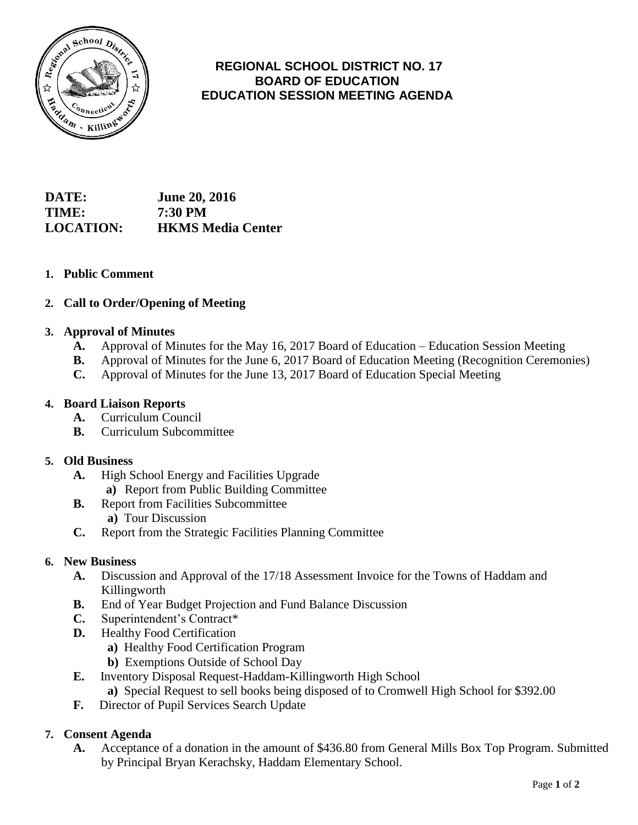

# **REGIONAL SCHOOL DISTRICT NO. 17 BOARD OF EDUCATION EDUCATION SESSION MEETING AGENDA**

**DATE: June 20, 2016 TIME: 7:30 PM LOCATION: HKMS Media Center**

## **1. Public Comment**

## **2. Call to Order/Opening of Meeting**

### **3. Approval of Minutes**

- **A.** Approval of Minutes for the May 16, 2017 Board of Education Education Session Meeting
- **B.** Approval of Minutes for the June 6, 2017 Board of Education Meeting (Recognition Ceremonies)
- **C.** Approval of Minutes for the June 13, 2017 Board of Education Special Meeting

### **4. Board Liaison Reports**

- **A.** Curriculum Council
- **B.** Curriculum Subcommittee

#### **5. Old Business**

- **A.** High School Energy and Facilities Upgrade
	- **a)** Report from Public Building Committee
- **B.** Report from Facilities Subcommittee  **a)** Tour Discussion
- **C.** Report from the Strategic Facilities Planning Committee

#### **6. New Business**

- **A.** Discussion and Approval of the 17/18 Assessment Invoice for the Towns of Haddam and Killingworth
- **B.** End of Year Budget Projection and Fund Balance Discussion
- **C.** Superintendent's Contract\*
- **D.** Healthy Food Certification
	- **a)** Healthy Food Certification Program
	- **b)** Exemptions Outside of School Day
- **E.** Inventory Disposal Request-Haddam-Killingworth High School  **a)** Special Request to sell books being disposed of to Cromwell High School for \$392.00
- **F.** Director of Pupil Services Search Update

## **7. Consent Agenda**

**A.** Acceptance of a donation in the amount of \$436.80 from General Mills Box Top Program. Submitted by Principal Bryan Kerachsky, Haddam Elementary School.